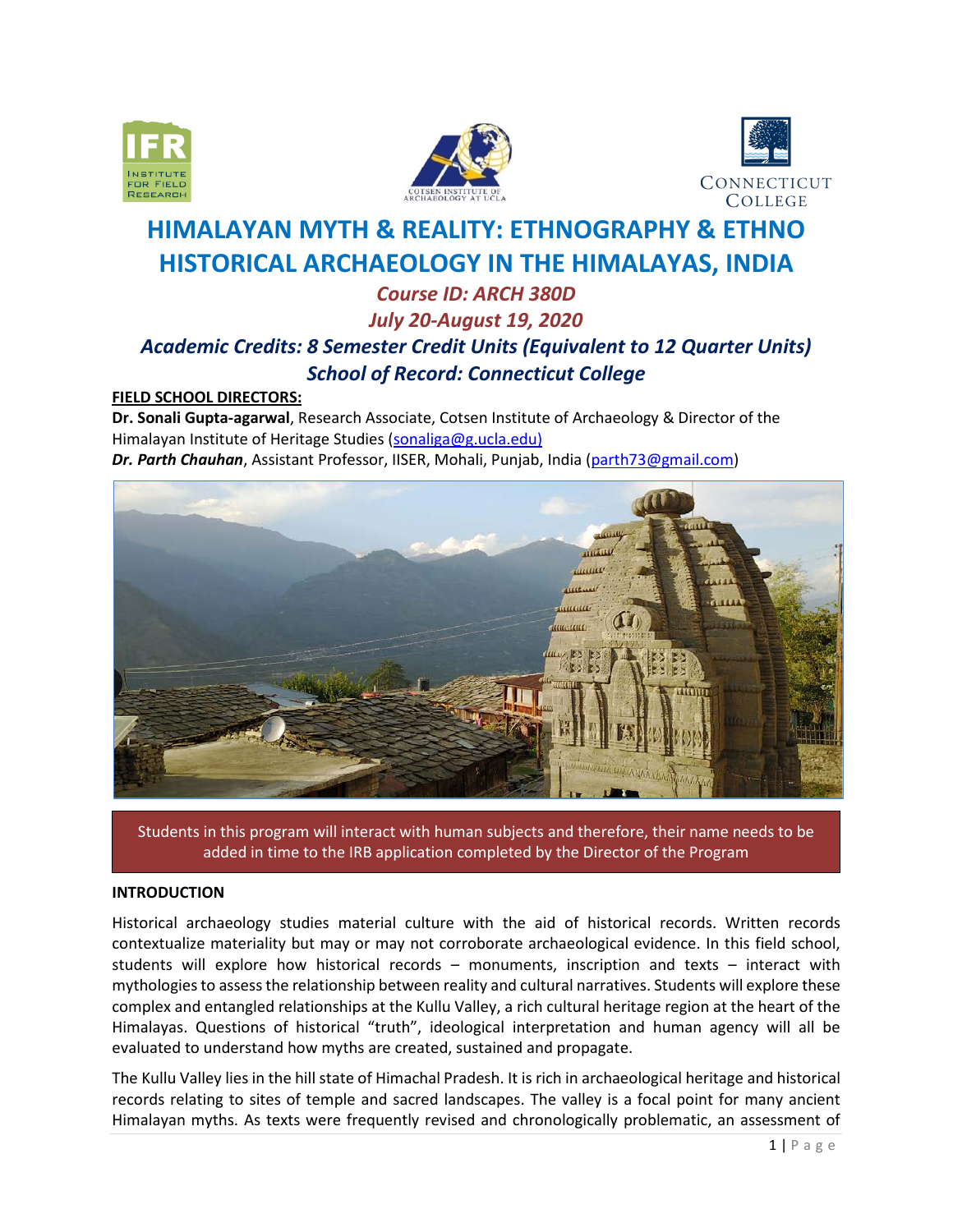





# **HIMALAYAN MYTH & REALITY: ETHNOGRAPHY & ETHNO HISTORICAL ARCHAEOLOGY IN THE HIMALAYAS, INDIA**

# *Course ID: ARCH 380D July 20-August 19, 2020 Academic Credits: 8 Semester Credit Units (Equivalent to 12 Quarter Units) School of Record: Connecticut College*

# **FIELD SCHOOL DIRECTORS:**

**Dr. Sonali Gupta-agarwal**, Research Associate, Cotsen Institute of Archaeology & Director of the Himalayan Institute of Heritage Studies [\(sonaliga@g.ucla.edu\)](mailto:sonaliga@g.ucla.edu) *Dr. Parth Chauhan*, Assistant Professor, IISER, Mohali, Punjab, India [\(parth73@gmail.com\)](mailto:parth73@gmail.com)



Students in this program will interact with human subjects and therefore, their name needs to be added in time to the IRB application completed by the Director of the Program

# **INTRODUCTION**

Historical archaeology studies material culture with the aid of historical records. Written records contextualize materiality but may or may not corroborate archaeological evidence. In this field school, students will explore how historical records – monuments, inscription and texts – interact with mythologies to assess the relationship between reality and cultural narratives. Students will explore these complex and entangled relationships at the Kullu Valley, a rich cultural heritage region at the heart of the Himalayas. Questions of historical "truth", ideological interpretation and human agency will all be evaluated to understand how myths are created, sustained and propagate.

The Kullu Valley lies in the hill state of Himachal Pradesh. It is rich in archaeological heritage and historical records relating to sites of temple and sacred landscapes. The valley is a focal point for many ancient Himalayan myths. As texts were frequently revised and chronologically problematic, an assessment of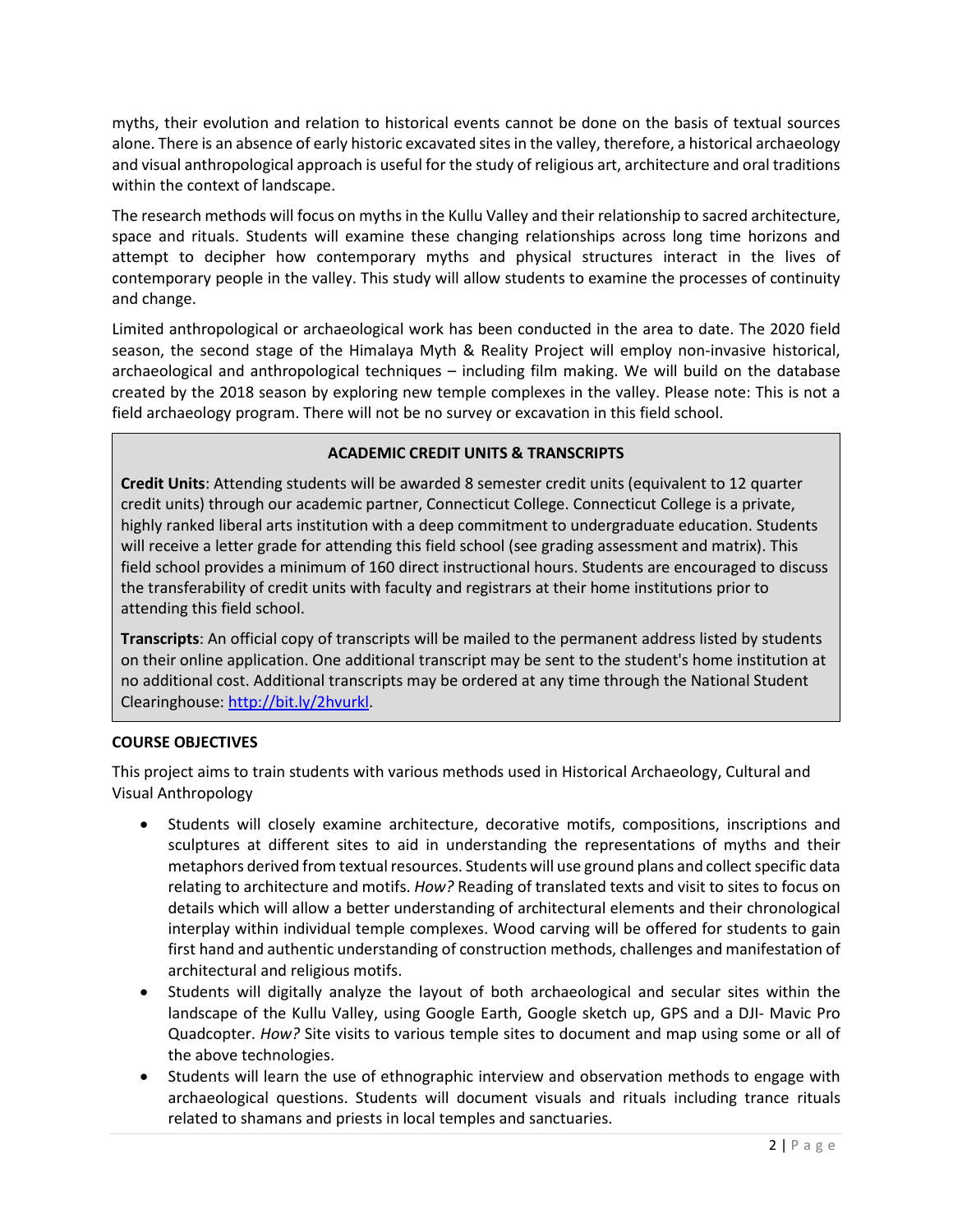myths, their evolution and relation to historical events cannot be done on the basis of textual sources alone. There is an absence of early historic excavated sites in the valley, therefore, a historical archaeology and visual anthropological approach is useful for the study of religious art, architecture and oral traditions within the context of landscape.

The research methods will focus on myths in the Kullu Valley and their relationship to sacred architecture, space and rituals. Students will examine these changing relationships across long time horizons and attempt to decipher how contemporary myths and physical structures interact in the lives of contemporary people in the valley. This study will allow students to examine the processes of continuity and change.

Limited anthropological or archaeological work has been conducted in the area to date. The 2020 field season, the second stage of the Himalaya Myth & Reality Project will employ non-invasive historical, archaeological and anthropological techniques – including film making. We will build on the database created by the 2018 season by exploring new temple complexes in the valley. Please note: This is not a field archaeology program. There will not be no survey or excavation in this field school.

# **ACADEMIC CREDIT UNITS & TRANSCRIPTS**

**Credit Units**: Attending students will be awarded 8 semester credit units (equivalent to 12 quarter credit units) through our academic partner, Connecticut College. Connecticut College is a private, highly ranked liberal arts institution with a deep commitment to undergraduate education. Students will receive a letter grade for attending this field school (see grading assessment and matrix). This field school provides a minimum of 160 direct instructional hours. Students are encouraged to discuss the transferability of credit units with faculty and registrars at their home institutions prior to attending this field school.

**Transcripts**: An official copy of transcripts will be mailed to the permanent address listed by students on their online application. One additional transcript may be sent to the student's home institution at no additional cost. Additional transcripts may be ordered at any time through the National Student Clearinghouse[: http://bit.ly/2hvurkl.](http://bit.ly/2hvurkl)

# **COURSE OBJECTIVES**

This project aims to train students with various methods used in Historical Archaeology, Cultural and Visual Anthropology

- Students will closely examine architecture, decorative motifs, compositions, inscriptions and sculptures at different sites to aid in understanding the representations of myths and their metaphors derived from textual resources. Students will use ground plans and collect specific data relating to architecture and motifs. *How?* Reading of translated texts and visit to sites to focus on details which will allow a better understanding of architectural elements and their chronological interplay within individual temple complexes. Wood carving will be offered for students to gain first hand and authentic understanding of construction methods, challenges and manifestation of architectural and religious motifs.
- Students will digitally analyze the layout of both archaeological and secular sites within the landscape of the Kullu Valley, using Google Earth, Google sketch up, GPS and a DJI- Mavic Pro Quadcopter. *How?* Site visits to various temple sites to document and map using some or all of the above technologies.
- Students will learn the use of ethnographic interview and observation methods to engage with archaeological questions. Students will document visuals and rituals including trance rituals related to shamans and priests in local temples and sanctuaries.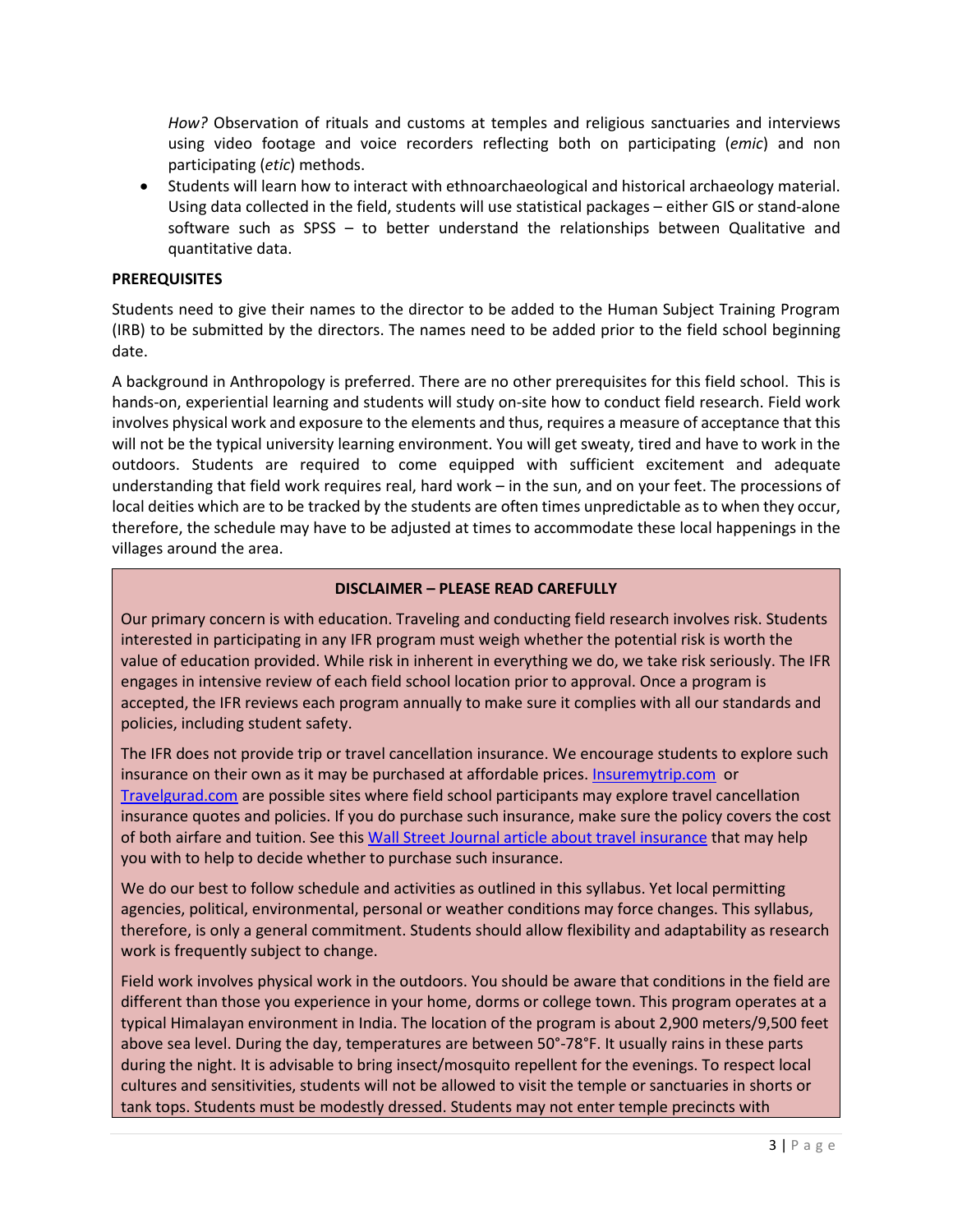*How?* Observation of rituals and customs at temples and religious sanctuaries and interviews using video footage and voice recorders reflecting both on participating (*emic*) and non participating (*etic*) methods.

• Students will learn how to interact with ethnoarchaeological and historical archaeology material. Using data collected in the field, students will use statistical packages – either GIS or stand-alone software such as SPSS – to better understand the relationships between Qualitative and quantitative data.

# **PREREQUISITES**

Students need to give their names to the director to be added to the Human Subject Training Program (IRB) to be submitted by the directors. The names need to be added prior to the field school beginning date.

A background in Anthropology is preferred. There are no other prerequisites for this field school. This is hands-on, experiential learning and students will study on-site how to conduct field research. Field work involves physical work and exposure to the elements and thus, requires a measure of acceptance that this will not be the typical university learning environment. You will get sweaty, tired and have to work in the outdoors. Students are required to come equipped with sufficient excitement and adequate understanding that field work requires real, hard work – in the sun, and on your feet. The processions of local deities which are to be tracked by the students are often times unpredictable as to when they occur, therefore, the schedule may have to be adjusted at times to accommodate these local happenings in the villages around the area.

# **DISCLAIMER – PLEASE READ CAREFULLY**

Our primary concern is with education. Traveling and conducting field research involves risk. Students interested in participating in any IFR program must weigh whether the potential risk is worth the value of education provided. While risk in inherent in everything we do, we take risk seriously. The IFR engages in intensive review of each field school location prior to approval. Once a program is accepted, the IFR reviews each program annually to make sure it complies with all our standards and policies, including student safety.

The IFR does not provide trip or travel cancellation insurance. We encourage students to explore such insurance on their own as it may be purchased at affordable prices[. Insuremytrip.com](http://www.insuremytrip.com/) or [Travelgurad.com](http://www.travelgurad.com/) are possible sites where field school participants may explore travel cancellation insurance quotes and policies. If you do purchase such insurance, make sure the policy covers the cost of both airfare and tuition. See thi[s Wall Street Journal article about travel insurance](https://ifrglobal.org/wp-content/uploads/2019/05/WSJ-04-03-19-Travel-Insurance.pdf) that may help you with to help to decide whether to purchase such insurance.

We do our best to follow schedule and activities as outlined in this syllabus. Yet local permitting agencies, political, environmental, personal or weather conditions may force changes. This syllabus, therefore, is only a general commitment. Students should allow flexibility and adaptability as research work is frequently subject to change.

Field work involves physical work in the outdoors. You should be aware that conditions in the field are different than those you experience in your home, dorms or college town. This program operates at a typical Himalayan environment in India. The location of the program is about 2,900 meters/9,500 feet above sea level. During the day, temperatures are between 50°-78°F. It usually rains in these parts during the night. It is advisable to bring insect/mosquito repellent for the evenings. To respect local cultures and sensitivities, students will not be allowed to visit the temple or sanctuaries in shorts or tank tops. Students must be modestly dressed. Students may not enter temple precincts with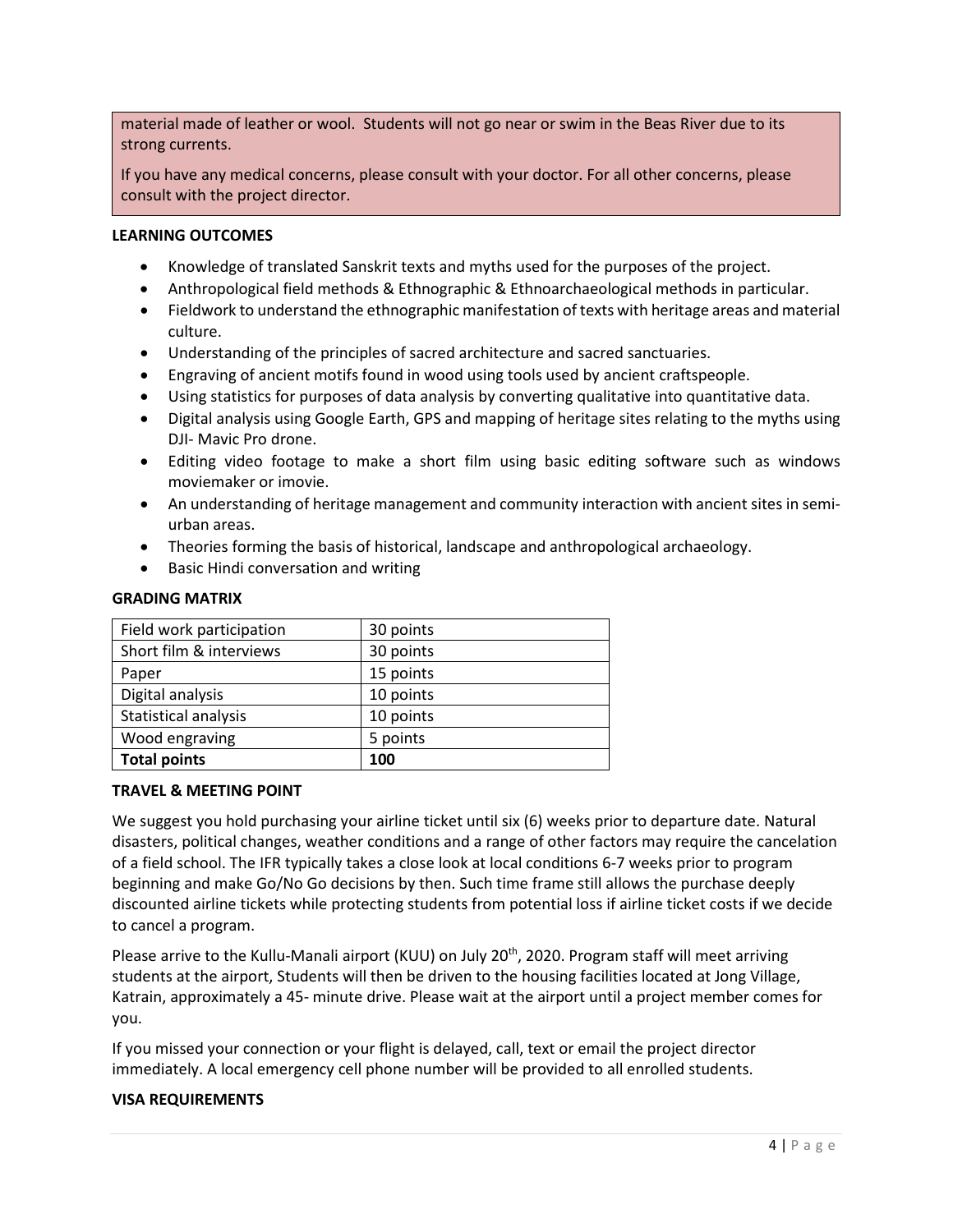material made of leather or wool. Students will not go near or swim in the Beas River due to its strong currents.

If you have any medical concerns, please consult with your doctor. For all other concerns, please consult with the project director.

#### **LEARNING OUTCOMES**

- Knowledge of translated Sanskrit texts and myths used for the purposes of the project.
- Anthropological field methods & Ethnographic & Ethnoarchaeological methods in particular.
- Fieldwork to understand the ethnographic manifestation of texts with heritage areas and material culture.
- Understanding of the principles of sacred architecture and sacred sanctuaries.
- Engraving of ancient motifs found in wood using tools used by ancient craftspeople.
- Using statistics for purposes of data analysis by converting qualitative into quantitative data.
- Digital analysis using Google Earth, GPS and mapping of heritage sites relating to the myths using DJI- Mavic Pro drone.
- Editing video footage to make a short film using basic editing software such as windows moviemaker or imovie.
- An understanding of heritage management and community interaction with ancient sites in semiurban areas.
- Theories forming the basis of historical, landscape and anthropological archaeology.
- Basic Hindi conversation and writing

#### **GRADING MATRIX**

| Field work participation | 30 points |
|--------------------------|-----------|
| Short film & interviews  | 30 points |
| Paper                    | 15 points |
| Digital analysis         | 10 points |
| Statistical analysis     | 10 points |
| Wood engraving           | 5 points  |
| <b>Total points</b>      | 100       |

#### **TRAVEL & MEETING POINT**

We suggest you hold purchasing your airline ticket until six (6) weeks prior to departure date. Natural disasters, political changes, weather conditions and a range of other factors may require the cancelation of a field school. The IFR typically takes a close look at local conditions 6-7 weeks prior to program beginning and make Go/No Go decisions by then. Such time frame still allows the purchase deeply discounted airline tickets while protecting students from potential loss if airline ticket costs if we decide to cancel a program.

Please arrive to the Kullu-Manali airport (KUU) on July 20<sup>th</sup>, 2020. Program staff will meet arriving students at the airport, Students will then be driven to the housing facilities located at Jong Village, Katrain, approximately a 45- minute drive. Please wait at the airport until a project member comes for you.

If you missed your connection or your flight is delayed, call, text or email the project director immediately. A local emergency cell phone number will be provided to all enrolled students.

#### **VISA REQUIREMENTS**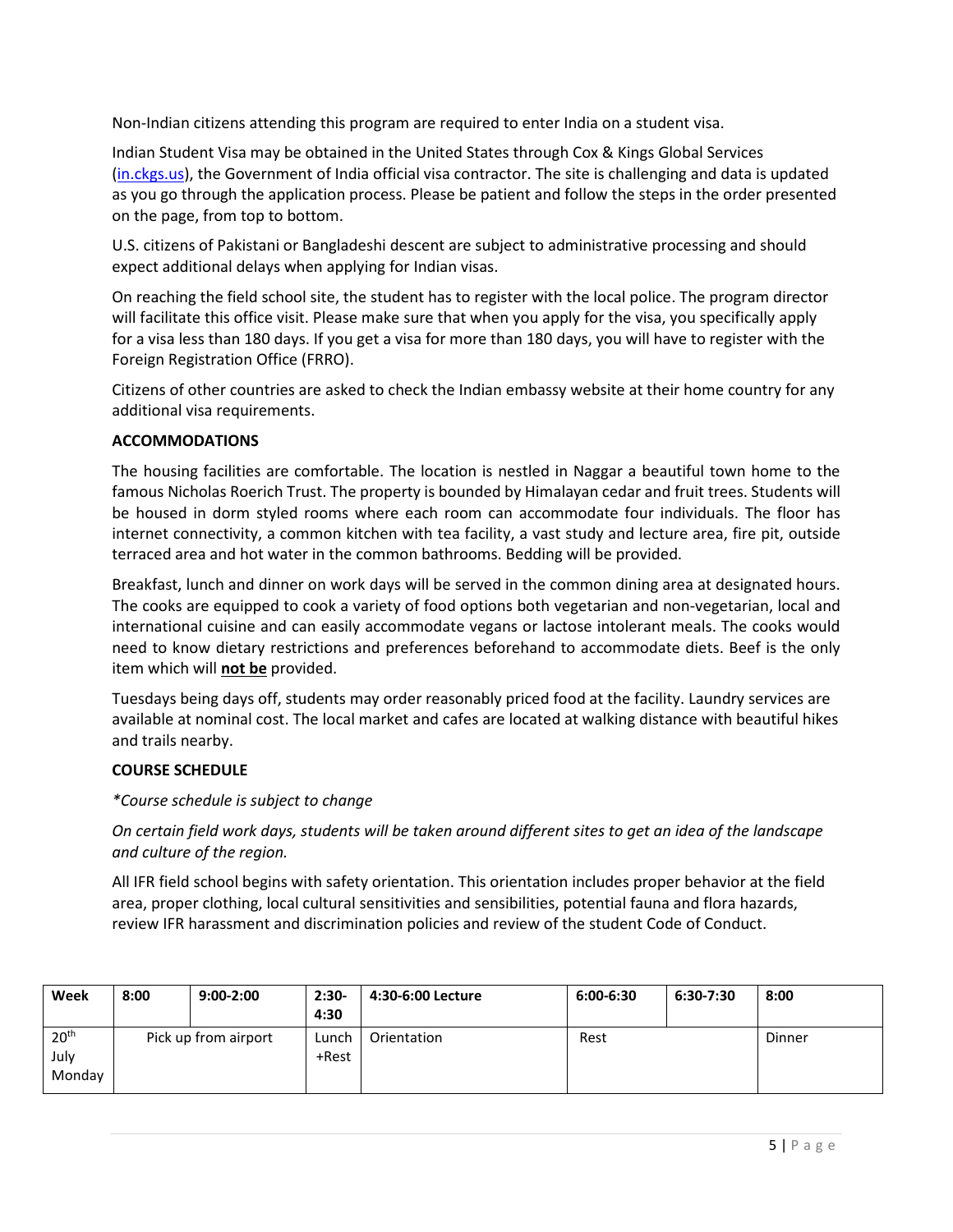Non-Indian citizens attending this program are required to enter India on a student visa.

Indian Student Visa may be obtained in the United States through Cox & Kings Global Services [\(in.ckgs.us\)](https://www.in.ckgs.us/), the Government of India official visa contractor. The site is challenging and data is updated as you go through the application process. Please be patient and follow the steps in the order presented on the page, from top to bottom.

U.S. citizens of Pakistani or Bangladeshi descent are subject to administrative processing and should expect additional delays when applying for Indian visas.

On reaching the field school site, the student has to register with the local police. The program director will facilitate this office visit. Please make sure that when you apply for the visa, you specifically apply for a visa less than 180 days. If you get a visa for more than 180 days, you will have to register with the Foreign Registration Office (FRRO).

Citizens of other countries are asked to check the Indian embassy website at their home country for any additional visa requirements.

# **ACCOMMODATIONS**

The housing facilities are comfortable. The location is nestled in Naggar a beautiful town home to the famous Nicholas Roerich Trust. The property is bounded by Himalayan cedar and fruit trees. Students will be housed in dorm styled rooms where each room can accommodate four individuals. The floor has internet connectivity, a common kitchen with tea facility, a vast study and lecture area, fire pit, outside terraced area and hot water in the common bathrooms. Bedding will be provided.

Breakfast, lunch and dinner on work days will be served in the common dining area at designated hours. The cooks are equipped to cook a variety of food options both vegetarian and non-vegetarian, local and international cuisine and can easily accommodate vegans or lactose intolerant meals. The cooks would need to know dietary restrictions and preferences beforehand to accommodate diets. Beef is the only item which will **not be** provided.

Tuesdays being days off, students may order reasonably priced food at the facility. Laundry services are available at nominal cost. The local market and cafes are located at walking distance with beautiful hikes and trails nearby.

# **COURSE SCHEDULE**

*\*Course schedule is subject to change*

*On certain field work days, students will be taken around different sites to get an idea of the landscape and culture of the region.*

All IFR field school begins with safety orientation. This orientation includes proper behavior at the field area, proper clothing, local cultural sensitivities and sensibilities, potential fauna and flora hazards, review IFR harassment and discrimination policies and review of the student Code of Conduct.

| Week                               | 8:00                 | $9:00-2:00$ | $2:30-$<br>4:30 | 4:30-6:00 Lecture | 6:00-6:30 | 6:30-7:30 | 8:00   |
|------------------------------------|----------------------|-------------|-----------------|-------------------|-----------|-----------|--------|
| 20 <sup>th</sup><br>July<br>Monday | Pick up from airport |             | Lunch<br>+Rest  | Orientation       | Rest      |           | Dinner |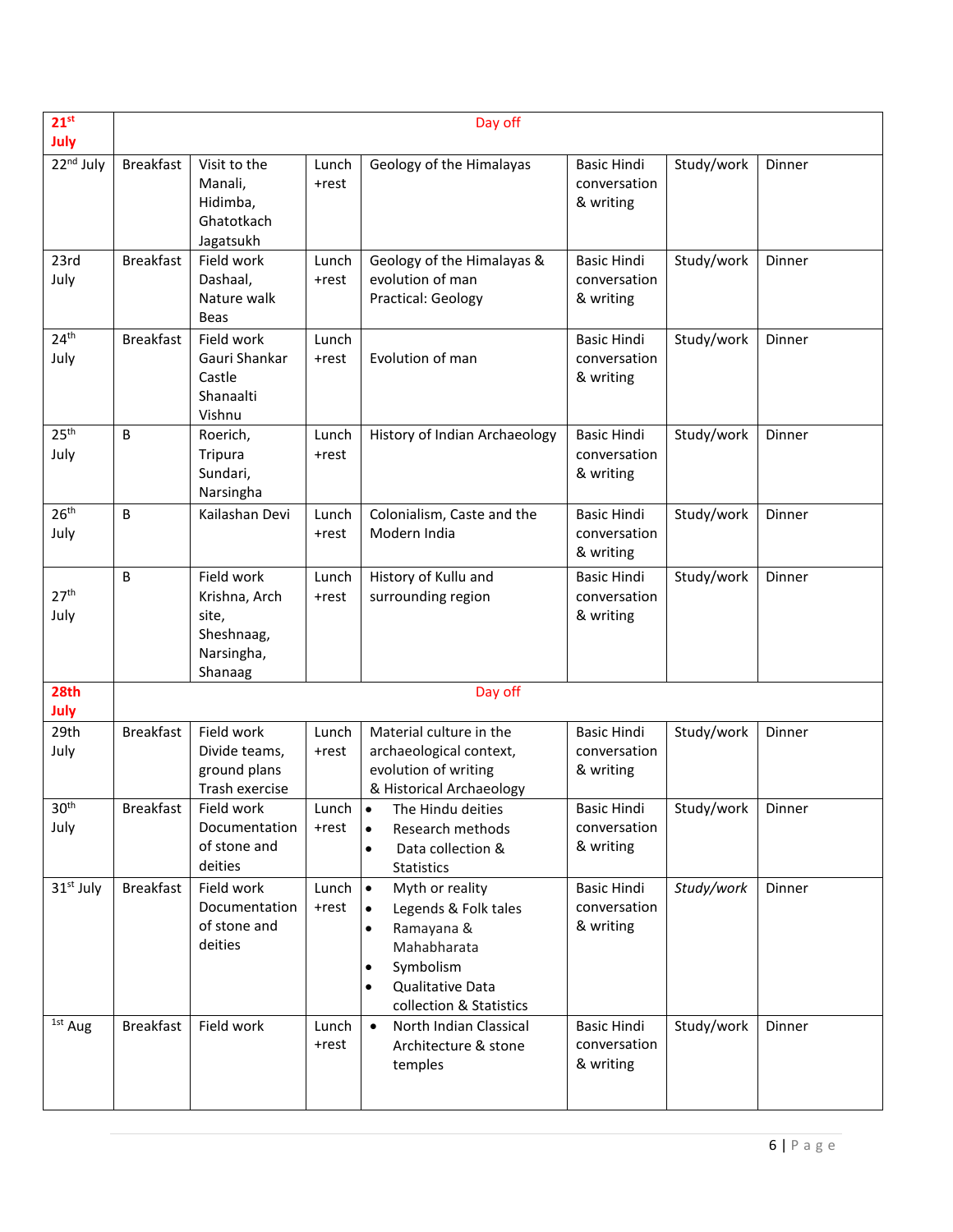| $21^{st}$                 |                  |                                                                             |                              | Day off                                                                                                                                                                              |                                                 |            |        |
|---------------------------|------------------|-----------------------------------------------------------------------------|------------------------------|--------------------------------------------------------------------------------------------------------------------------------------------------------------------------------------|-------------------------------------------------|------------|--------|
| July                      |                  |                                                                             |                              |                                                                                                                                                                                      |                                                 |            |        |
| $\overline{2}2^{nd}$ July | <b>Breakfast</b> | Visit to the<br>Manali,<br>Hidimba,<br>Ghatotkach<br>Jagatsukh              | Lunch<br>+rest               | Geology of the Himalayas                                                                                                                                                             | <b>Basic Hindi</b><br>conversation<br>& writing | Study/work | Dinner |
| 23rd<br>July              | <b>Breakfast</b> | Field work<br>Dashaal,<br>Nature walk<br>Beas                               | Lunch<br>+rest               | Geology of the Himalayas &<br>evolution of man<br>Practical: Geology                                                                                                                 | <b>Basic Hindi</b><br>conversation<br>& writing | Study/work | Dinner |
| 24 <sup>th</sup><br>July  | <b>Breakfast</b> | Field work<br>Gauri Shankar<br>Castle<br>Shanaalti<br>Vishnu                | Lunch<br>+rest               | Evolution of man                                                                                                                                                                     | <b>Basic Hindi</b><br>conversation<br>& writing | Study/work | Dinner |
| 25 <sup>th</sup><br>July  | B                | Roerich,<br>Tripura<br>Sundari,<br>Narsingha                                | Lunch<br>+rest               | History of Indian Archaeology                                                                                                                                                        | <b>Basic Hindi</b><br>conversation<br>& writing | Study/work | Dinner |
| 26 <sup>th</sup><br>July  | B                | Kailashan Devi                                                              | Lunch<br>+rest               | Colonialism, Caste and the<br>Modern India                                                                                                                                           | <b>Basic Hindi</b><br>conversation<br>& writing | Study/work | Dinner |
| 27 <sup>th</sup><br>July  | B                | Field work<br>Krishna, Arch<br>site,<br>Sheshnaag,<br>Narsingha,<br>Shanaag | Lunch<br>+rest               | History of Kullu and<br>surrounding region                                                                                                                                           | <b>Basic Hindi</b><br>conversation<br>& writing | Study/work | Dinner |
| 28th                      |                  |                                                                             |                              | Day off                                                                                                                                                                              |                                                 |            |        |
| July                      |                  |                                                                             |                              |                                                                                                                                                                                      |                                                 |            |        |
| 29th<br>July              | <b>Breakfast</b> | Field work<br>Divide teams,<br>ground plans<br>Trash exercise               | Lunch<br>+rest               | Material culture in the<br>archaeological context,<br>evolution of writing<br>& Historical Archaeology                                                                               | <b>Basic Hindi</b><br>conversation<br>& writing | Study/work | Dinner |
| 30 <sup>th</sup><br>July  | <b>Breakfast</b> | Field work<br>Documentation<br>of stone and<br>deities                      | Lunch $  \bullet  $<br>+rest | The Hindu deities<br>Research methods<br>$\bullet$<br>Data collection &<br>$\bullet$<br><b>Statistics</b>                                                                            | <b>Basic Hindi</b><br>conversation<br>& writing | Study/work | Dinner |
| 31 <sup>st</sup> July     | <b>Breakfast</b> | Field work<br>Documentation<br>of stone and<br>deities                      | Lunch<br>+rest               | $\bullet$<br>Myth or reality<br>Legends & Folk tales<br>$\bullet$<br>Ramayana &<br>Mahabharata<br>Symbolism<br>$\bullet$<br>Qualitative Data<br>$\bullet$<br>collection & Statistics | <b>Basic Hindi</b><br>conversation<br>& writing | Study/work | Dinner |
| <sup>1st</sup> Aug        | <b>Breakfast</b> | Field work                                                                  | Lunch<br>+rest               | North Indian Classical<br>$\bullet$<br>Architecture & stone<br>temples                                                                                                               | <b>Basic Hindi</b><br>conversation<br>& writing | Study/work | Dinner |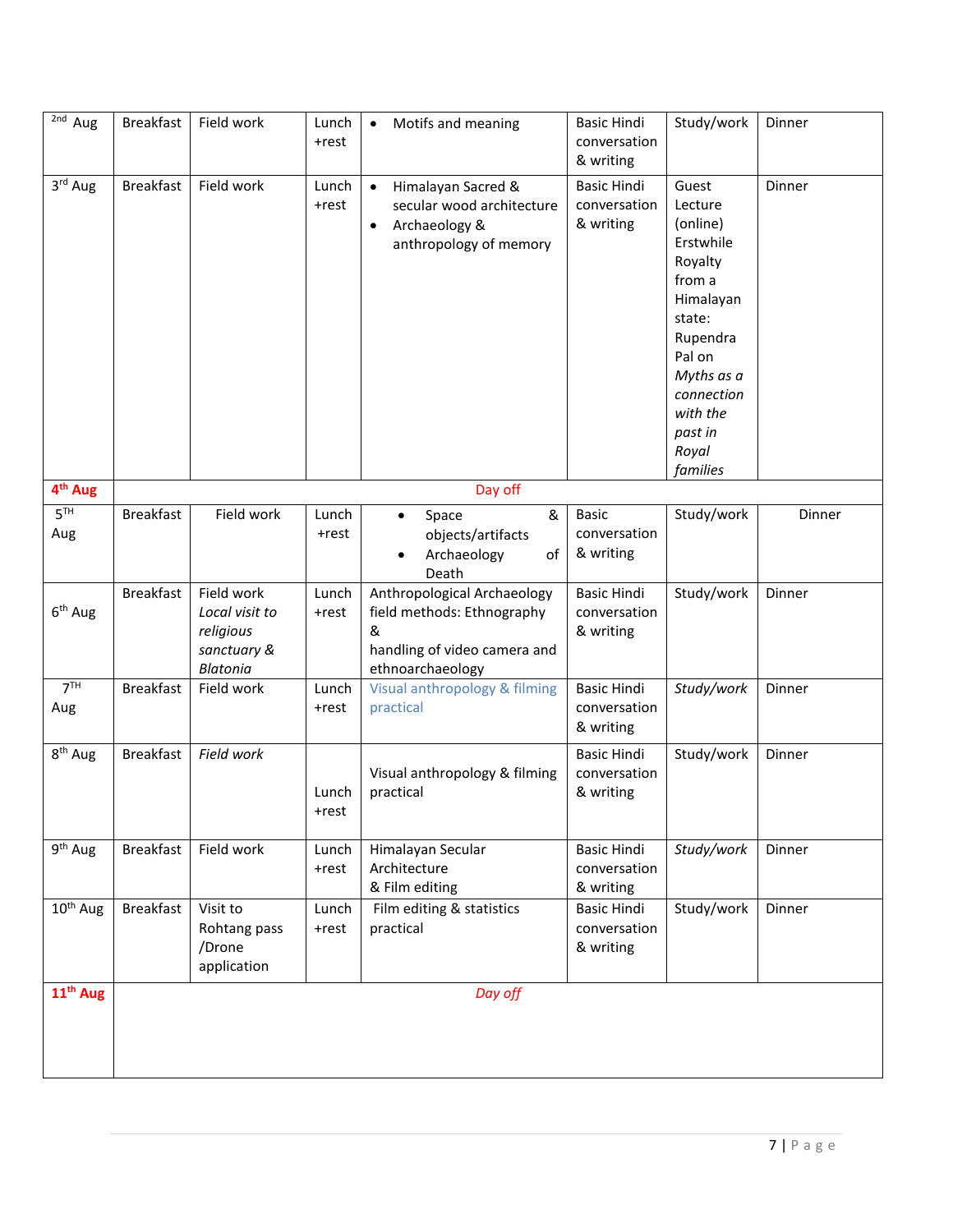| $\overline{2nd}$ Aug   | <b>Breakfast</b> | Field work                                                           | Lunch<br>+rest    | Motifs and meaning<br>$\bullet$                                                                                      | <b>Basic Hindi</b><br>conversation<br>& writing | Study/work                                                                                                                                                                          | Dinner |
|------------------------|------------------|----------------------------------------------------------------------|-------------------|----------------------------------------------------------------------------------------------------------------------|-------------------------------------------------|-------------------------------------------------------------------------------------------------------------------------------------------------------------------------------------|--------|
| 3rd Aug                | <b>Breakfast</b> | Field work                                                           | Lunch<br>+rest    | Himalayan Sacred &<br>$\bullet$<br>secular wood architecture<br>Archaeology &<br>$\bullet$<br>anthropology of memory | <b>Basic Hindi</b><br>conversation<br>& writing | Guest<br>Lecture<br>(online)<br>Erstwhile<br>Royalty<br>from a<br>Himalayan<br>state:<br>Rupendra<br>Pal on<br>Myths as a<br>connection<br>with the<br>past in<br>Royal<br>families | Dinner |
| 4 <sup>th</sup> Aug    |                  |                                                                      |                   | Day off                                                                                                              |                                                 |                                                                                                                                                                                     |        |
| 5 <sup>TH</sup><br>Aug | <b>Breakfast</b> | Field work                                                           | Lunch<br>+rest    | &<br>Space<br>$\bullet$<br>objects/artifacts<br>Archaeology<br>of<br>Death                                           | <b>Basic</b><br>conversation<br>& writing       | Study/work                                                                                                                                                                          | Dinner |
| $6th$ Aug              | <b>Breakfast</b> | Field work<br>Local visit to<br>religious<br>sanctuary &<br>Blatonia | Lunch<br>+rest    | Anthropological Archaeology<br>field methods: Ethnography<br>&<br>handling of video camera and<br>ethnoarchaeology   | <b>Basic Hindi</b><br>conversation<br>& writing | Study/work                                                                                                                                                                          | Dinner |
| 7 <sup>TH</sup><br>Aug | <b>Breakfast</b> | Field work                                                           | Lunch<br>+rest    | Visual anthropology & filming<br>practical                                                                           | <b>Basic Hindi</b><br>conversation<br>& writing | Study/work                                                                                                                                                                          | Dinner |
| $8th$ Aug              | <b>Breakfast</b> | Field work                                                           | Lunch<br>+rest    | Visual anthropology & filming<br>practical                                                                           | <b>Basic Hindi</b><br>conversation<br>& writing | Study/work                                                                                                                                                                          | Dinner |
| $9th$ Aug              | <b>Breakfast</b> | Field work                                                           | Lunch<br>$+ rest$ | Himalayan Secular<br>Architecture<br>& Film editing                                                                  | <b>Basic Hindi</b><br>conversation<br>& writing | Study/work                                                                                                                                                                          | Dinner |
| $10^{th}$ Aug          | <b>Breakfast</b> | Visit to<br>Rohtang pass<br>/Drone<br>application                    | Lunch<br>+rest    | Film editing & statistics<br>practical                                                                               | <b>Basic Hindi</b><br>conversation<br>& writing | Study/work                                                                                                                                                                          | Dinner |
| $11th$ Aug             |                  |                                                                      |                   | Day off                                                                                                              |                                                 |                                                                                                                                                                                     |        |
|                        |                  |                                                                      |                   |                                                                                                                      |                                                 |                                                                                                                                                                                     |        |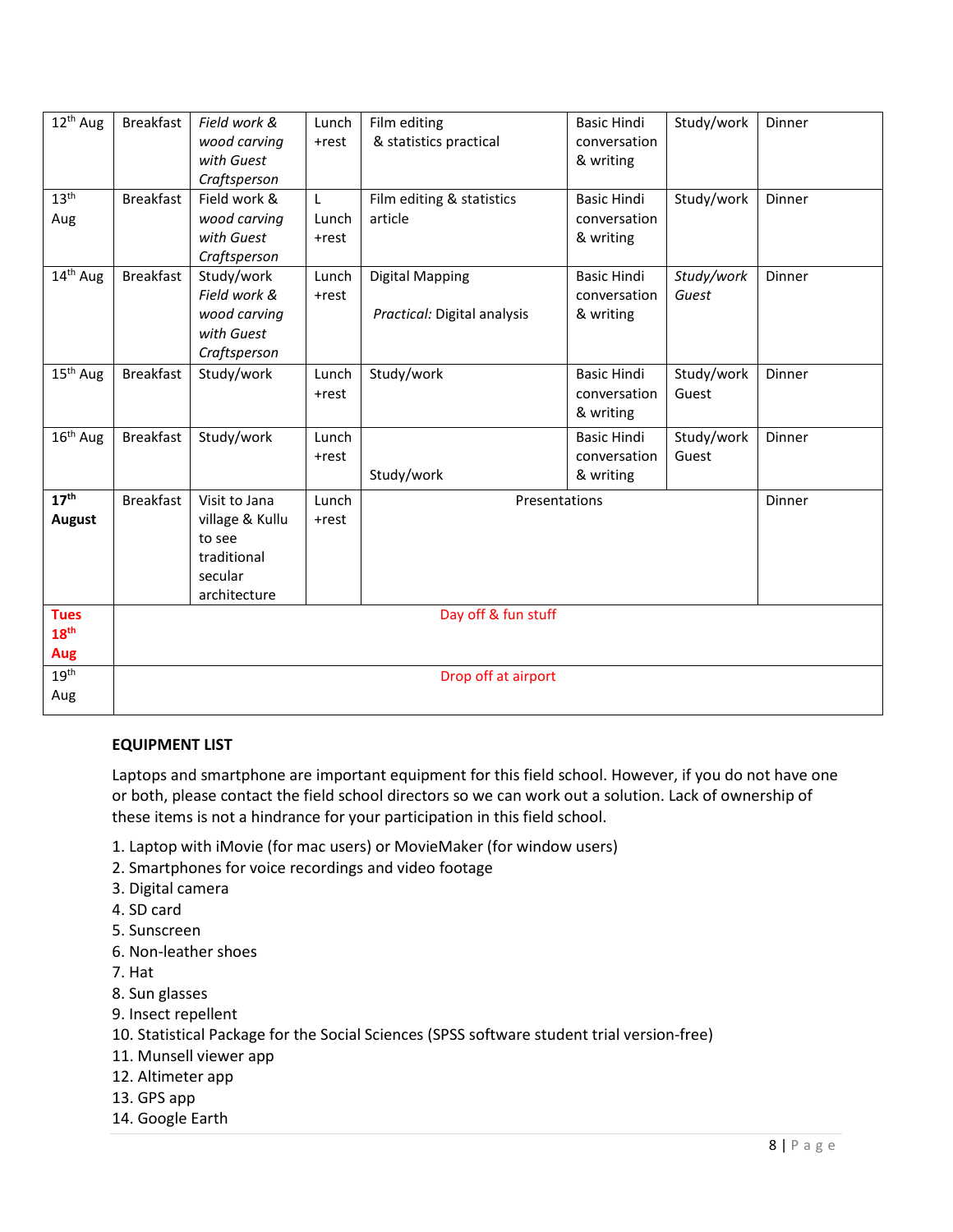| 12 <sup>th</sup> Aug                   | <b>Breakfast</b>    | Field work &<br>wood carving<br>with Guest<br>Craftsperson                           | Lunch<br>+rest      | Film editing<br>& statistics practical                | <b>Basic Hindi</b><br>conversation<br>& writing | Study/work          | Dinner |
|----------------------------------------|---------------------|--------------------------------------------------------------------------------------|---------------------|-------------------------------------------------------|-------------------------------------------------|---------------------|--------|
| 13 <sup>th</sup><br>Aug                | <b>Breakfast</b>    | Field work &<br>wood carving<br>with Guest<br>Craftsperson                           | L<br>Lunch<br>+rest | Film editing & statistics<br>article                  | <b>Basic Hindi</b><br>conversation<br>& writing | Study/work          | Dinner |
| 14 <sup>th</sup> Aug                   | <b>Breakfast</b>    | Study/work<br>Field work &<br>wood carving<br>with Guest<br>Craftsperson             | Lunch<br>+rest      | <b>Digital Mapping</b><br>Practical: Digital analysis | <b>Basic Hindi</b><br>conversation<br>& writing | Study/work<br>Guest | Dinner |
| 15 <sup>th</sup> Aug                   | <b>Breakfast</b>    | Study/work                                                                           | Lunch<br>+rest      | Study/work                                            | <b>Basic Hindi</b><br>conversation<br>& writing | Study/work<br>Guest | Dinner |
| 16 <sup>th</sup> Aug                   | <b>Breakfast</b>    | Study/work                                                                           | Lunch<br>+rest      | Study/work                                            | <b>Basic Hindi</b><br>conversation<br>& writing | Study/work<br>Guest | Dinner |
| 17 <sup>th</sup><br><b>August</b>      | <b>Breakfast</b>    | Visit to Jana<br>village & Kullu<br>to see<br>traditional<br>secular<br>architecture | Lunch<br>+rest      | Presentations                                         |                                                 |                     | Dinner |
| <b>Tues</b><br>18 <sup>th</sup><br>Aug |                     |                                                                                      |                     | Day off & fun stuff                                   |                                                 |                     |        |
| 19 <sup>th</sup><br>Aug                | Drop off at airport |                                                                                      |                     |                                                       |                                                 |                     |        |

# **EQUIPMENT LIST**

Laptops and smartphone are important equipment for this field school. However, if you do not have one or both, please contact the field school directors so we can work out a solution. Lack of ownership of these items is not a hindrance for your participation in this field school.

- 1. Laptop with iMovie (for mac users) or MovieMaker (for window users)
- 2. Smartphones for voice recordings and video footage
- 3. Digital camera
- 4. SD card
- 5. Sunscreen
- 6. Non-leather shoes
- 7. Hat
- 8. Sun glasses
- 9. Insect repellent
- 10. Statistical Package for the Social Sciences (SPSS software student trial version-free)
- 11. Munsell viewer app
- 12. Altimeter app
- 13. GPS app
- 14. Google Earth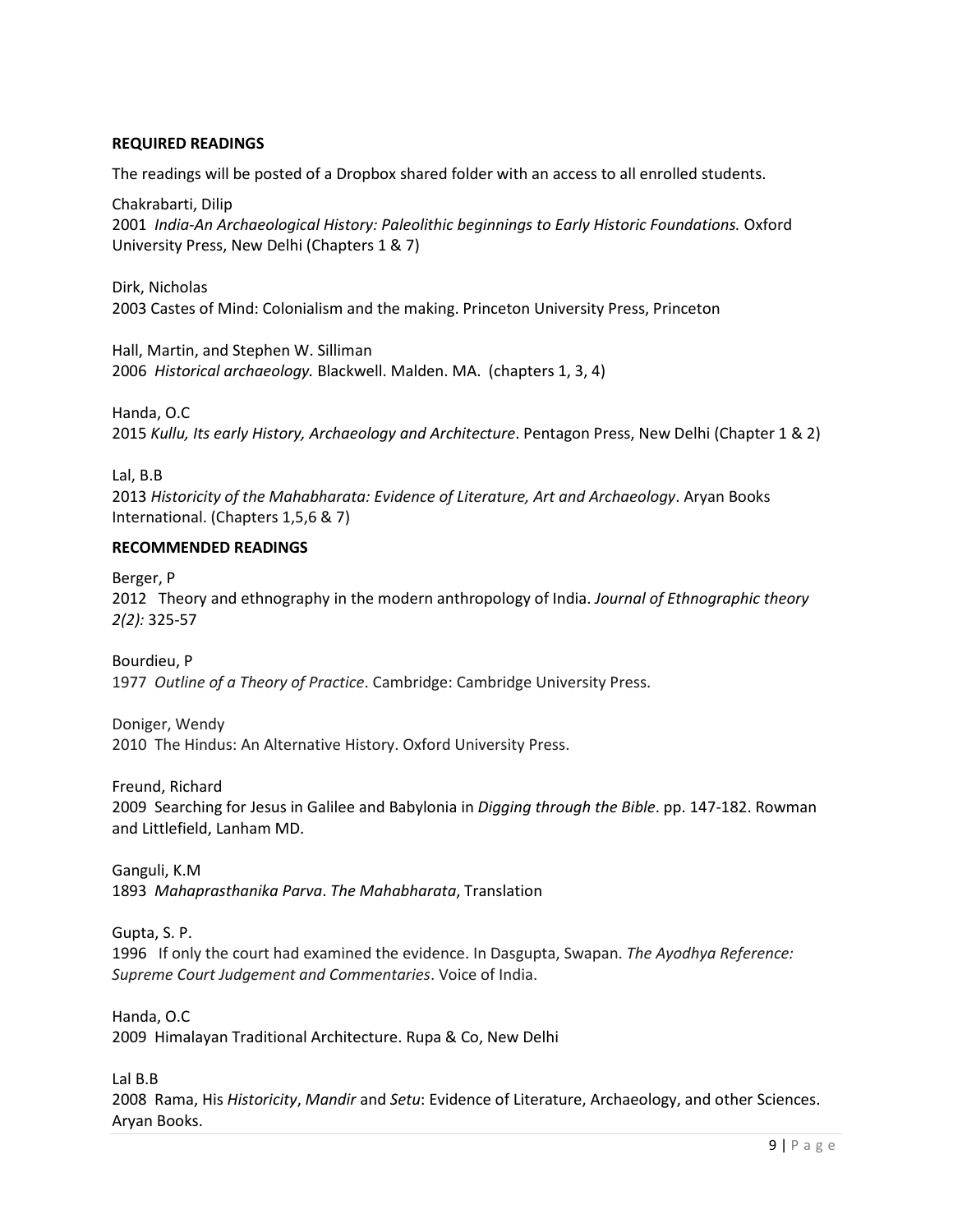#### **REQUIRED READINGS**

The readings will be posted of a Dropbox shared folder with an access to all enrolled students.

Chakrabarti, Dilip 2001 *India-An Archaeological History: Paleolithic beginnings to Early Historic Foundations.* Oxford University Press, New Delhi (Chapters 1 & 7)

Dirk, Nicholas 2003 Castes of Mind: Colonialism and the making. Princeton University Press, Princeton

Hall, Martin, and Stephen W. Silliman 2006 *Historical archaeology.* Blackwell. Malden. MA. (chapters 1, 3, 4)

Handa, O.C 2015 *Kullu, Its early History, Archaeology and Architecture*. Pentagon Press, New Delhi (Chapter 1 & 2)

Lal, B.B

2013 *Historicity of the Mahabharata: Evidence of Literature, Art and Archaeology*. Aryan Books International. (Chapters 1,5,6 & 7)

# **RECOMMENDED READINGS**

Berger, P 2012 Theory and ethnography in the modern anthropology of India. *Journal of Ethnographic theory 2(2):* 325-57

Bourdieu, P 1977 *Outline of a Theory of Practice*. Cambridge: Cambridge University Press.

Doniger, Wendy 2010 The Hindus: An Alternative History. Oxford University Press.

Freund, Richard

2009 Searching for Jesus in Galilee and Babylonia in *Digging through the Bible*. pp. 147-182. Rowman and Littlefield, Lanham MD.

Ganguli, K.M 1893 *Mahaprasthanika Parva*. *The Mahabharata*, Translation

[Gupta, S. P.](https://en.wikipedia.org/wiki/S._P._Gupta)

1996 If only the court had examined the evidence. In Dasgupta, Swapan. *The Ayodhya Reference: Supreme Court Judgement and Commentaries*. Voice of India.

Handa, O.C 2009 Himalayan Traditional Architecture. Rupa & Co, New Delhi

Lal B.B

2008 Rama, His *Historicity*, *Mandir* and *Setu*: Evidence of Literature, Archaeology, and other Sciences. Aryan Books.